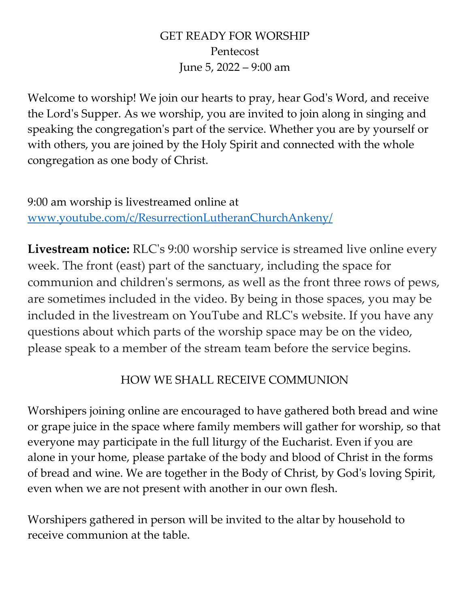### GET READY FOR WORSHIP Pentecost June 5, 2022 – 9:00 am

Welcome to worship! We join our hearts to pray, hear God's Word, and receive the Lord's Supper. As we worship, you are invited to join along in singing and speaking the congregation's part of the service. Whether you are by yourself or with others, you are joined by the Holy Spirit and connected with the whole congregation as one body of Christ.

9:00 am worship is livestreamed online at [www.youtube.com/c/ResurrectionLutheranChurchAnkeny/](http://www.youtube.com/c/ResurrectionLutheranChurchAnkeny/)

**Livestream notice:** RLC's 9:00 worship service is streamed live online every week. The front (east) part of the sanctuary, including the space for communion and children's sermons, as well as the front three rows of pews, are sometimes included in the video. By being in those spaces, you may be included in the livestream on YouTube and RLC's website. If you have any questions about which parts of the worship space may be on the video, please speak to a member of the stream team before the service begins.

#### HOW WE SHALL RECEIVE COMMUNION

Worshipers joining online are encouraged to have gathered both bread and wine or grape juice in the space where family members will gather for worship, so that everyone may participate in the full liturgy of the Eucharist. Even if you are alone in your home, please partake of the body and blood of Christ in the forms of bread and wine. We are together in the Body of Christ, by God's loving Spirit, even when we are not present with another in our own flesh.

Worshipers gathered in person will be invited to the altar by household to receive communion at the table.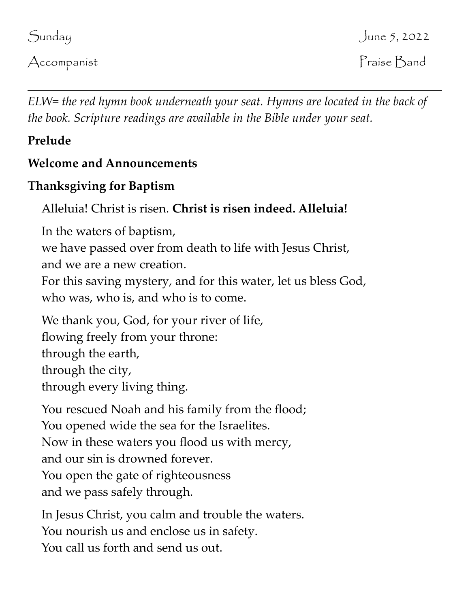Accompanist Praise Band

Sunday June 5, 2022

*ELW= the red hymn book underneath your seat. Hymns are located in the back of the book. Scripture readings are available in the Bible under your seat.*

## **Prelude**

## **Welcome and Announcements**

## **Thanksgiving for Baptism**

# Alleluia! Christ is risen. **Christ is risen indeed. Alleluia!**

In the waters of baptism, we have passed over from death to life with Jesus Christ, and we are a new creation. For this saving mystery, and for this water, let us bless God, who was, who is, and who is to come. We thank you, God, for your river of life, flowing freely from your throne:

through the earth, through the city, through every living thing.

You rescued Noah and his family from the flood; You opened wide the sea for the Israelites. Now in these waters you flood us with mercy, and our sin is drowned forever. You open the gate of righteousness and we pass safely through.

In Jesus Christ, you calm and trouble the waters. You nourish us and enclose us in safety. You call us forth and send us out.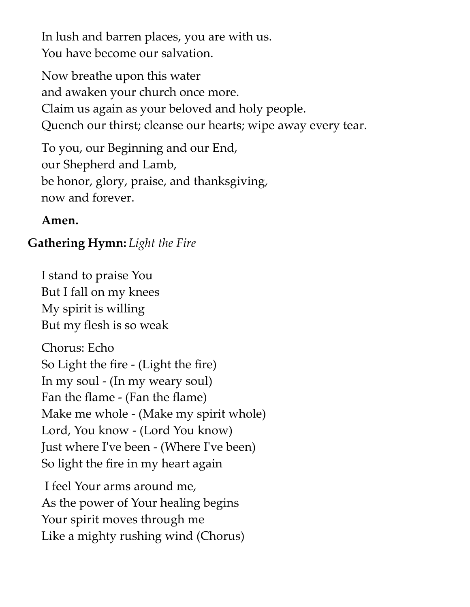In lush and barren places, you are with us. You have become our salvation.

Now breathe upon this water and awaken your church once more. Claim us again as your beloved and holy people. Quench our thirst; cleanse our hearts; wipe away every tear.

To you, our Beginning and our End, our Shepherd and Lamb, be honor, glory, praise, and thanksgiving, now and forever.

#### **Amen.**

### **Gathering Hymn:** *Light the Fire*

I stand to praise You But I fall on my knees My spirit is willing But my flesh is so weak

Chorus: Echo So Light the fire - (Light the fire) In my soul - (In my weary soul) Fan the flame - (Fan the flame) Make me whole - (Make my spirit whole) Lord, You know - (Lord You know) Just where I've been - (Where I've been) So light the fire in my heart again

I feel Your arms around me, As the power of Your healing begins Your spirit moves through me Like a mighty rushing wind (Chorus)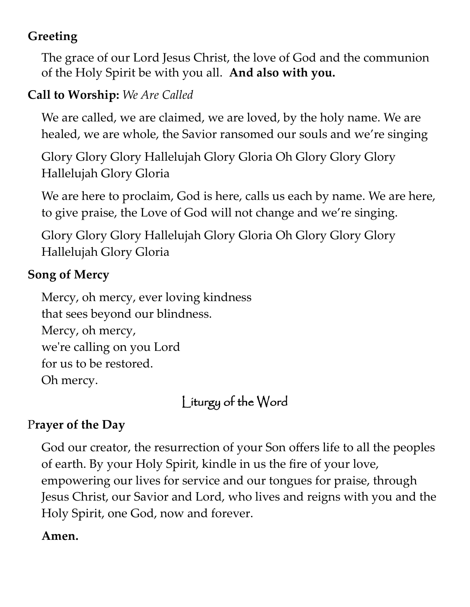## **Greeting**

The grace of our Lord Jesus Christ, the love of God and the communion of the Holy Spirit be with you all. **And also with you.**

## **Call to Worship:** *We Are Called*

We are called, we are claimed, we are loved, by the holy name. We are healed, we are whole, the Savior ransomed our souls and we're singing

Glory Glory Glory Hallelujah Glory Gloria Oh Glory Glory Glory Hallelujah Glory Gloria

We are here to proclaim, God is here, calls us each by name. We are here, to give praise, the Love of God will not change and we're singing.

Glory Glory Glory Hallelujah Glory Gloria Oh Glory Glory Glory Hallelujah Glory Gloria

## **Song of Mercy**

Mercy, oh mercy, ever loving kindness that sees beyond our blindness. Mercy, oh mercy, we're calling on you Lord for us to be restored. Oh mercy.

# Liturgy of the Word

## P**rayer of the Day**

God our creator, the resurrection of your Son offers life to all the peoples of earth. By your Holy Spirit, kindle in us the fire of your love, empowering our lives for service and our tongues for praise, through Jesus Christ, our Savior and Lord, who lives and reigns with you and the Holy Spirit, one God, now and forever.

## **Amen.**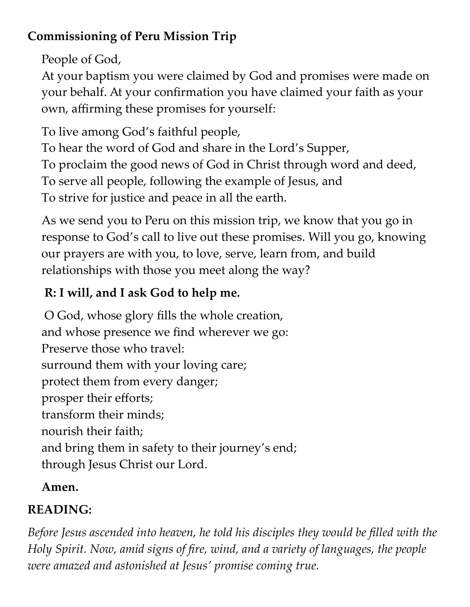## **Commissioning of Peru Mission Trip**

People of God,

At your baptism you were claimed by God and promises were made on your behalf. At your confirmation you have claimed your faith as your own, affirming these promises for yourself:

To live among God's faithful people, To hear the word of God and share in the Lord's Supper, To proclaim the good news of God in Christ through word and deed, To serve all people, following the example of Jesus, and To strive for justice and peace in all the earth.

As we send you to Peru on this mission trip, we know that you go in response to God's call to live out these promises. Will you go, knowing our prayers are with you, to love, serve, learn from, and build relationships with those you meet along the way?

# **R: I will, and I ask God to help me.**

O God, whose glory fills the whole creation, and whose presence we find wherever we go: Preserve those who travel: surround them with your loving care; protect them from every danger; prosper their efforts; transform their minds; nourish their faith; and bring them in safety to their journey's end; through Jesus Christ our Lord.

## **Amen.**

# **READING:**

*Before Jesus ascended into heaven, he told his disciples they would be filled with the Holy Spirit. Now, amid signs of fire, wind, and a variety of languages, the people were amazed and astonished at Jesus' promise coming true.*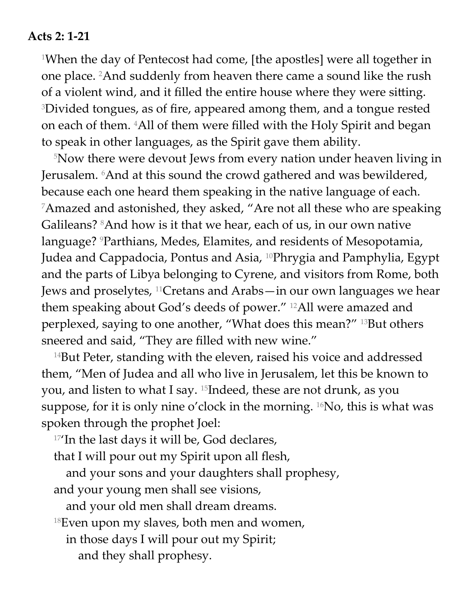#### **Acts 2: 1-21**

<sup>1</sup>When the day of Pentecost had come, [the apostles] were all together in one place. 2And suddenly from heaven there came a sound like the rush of a violent wind, and it filled the entire house where they were sitting. <sup>3</sup>Divided tongues, as of fire, appeared among them, and a tongue rested on each of them. 4All of them were filled with the Holy Spirit and began to speak in other languages, as the Spirit gave them ability.

<sup>5</sup>Now there were devout Jews from every nation under heaven living in Jerusalem. <sup>6</sup>And at this sound the crowd gathered and was bewildered, because each one heard them speaking in the native language of each. <sup>7</sup>Amazed and astonished, they asked, "Are not all these who are speaking Galileans? <sup>8</sup>And how is it that we hear, each of us, in our own native language? 9Parthians, Medes, Elamites, and residents of Mesopotamia, Judea and Cappadocia, Pontus and Asia, 10Phrygia and Pamphylia, Egypt and the parts of Libya belonging to Cyrene, and visitors from Rome, both Jews and proselytes, 11Cretans and Arabs—in our own languages we hear them speaking about God's deeds of power." 12All were amazed and perplexed, saying to one another, "What does this mean?" 13But others sneered and said, "They are filled with new wine."

<sup>14</sup>But Peter, standing with the eleven, raised his voice and addressed them, "Men of Judea and all who live in Jerusalem, let this be known to you, and listen to what I say. 15Indeed, these are not drunk, as you suppose, for it is only nine o'clock in the morning. <sup>16</sup>No, this is what was spoken through the prophet Joel:

17 'In the last days it will be, God declares,

that I will pour out my Spirit upon all flesh,

and your sons and your daughters shall prophesy, and your young men shall see visions,

and your old men shall dream dreams.

 $18$ Even upon my slaves, both men and women,

in those days I will pour out my Spirit;

and they shall prophesy.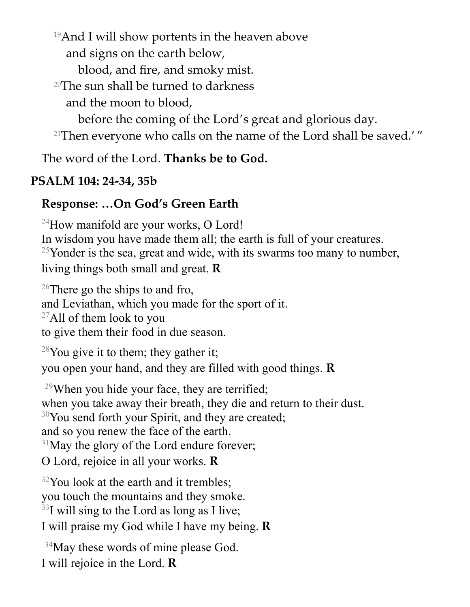<sup>19</sup>And I will show portents in the heaven above and signs on the earth below,

blood, and fire, and smoky mist.

<sup>20</sup>The sun shall be turned to darkness

and the moon to blood,

before the coming of the Lord's great and glorious day.

 $21$ Then everyone who calls on the name of the Lord shall be saved.' $''$ 

The word of the Lord. **Thanks be to God.**

## **PSALM 104: 24-34, 35b**

### **Response: …On God's Green Earth**

<sup>24</sup>How manifold are your works, O Lord! In wisdom you have made them all; the earth is full of your creatures. <sup>25</sup>Yonder is the sea, great and wide, with its swarms too many to number, living things both small and great. **R**

<sup>26</sup>There go the ships to and fro, and Leviathan, which you made for the sport of it.  $27$ All of them look to you to give them their food in due season.

 $28$ You give it to them; they gather it; you open your hand, and they are filled with good things. **R**

 $29$ When you hide your face, they are terrified; when you take away their breath, they die and return to their dust.  $30$ You send forth your Spirit, and they are created; and so you renew the face of the earth.  $31$ May the glory of the Lord endure forever; O Lord, rejoice in all your works. **R**

 $32$ You look at the earth and it trembles; you touch the mountains and they smoke.  $33$ I will sing to the Lord as long as I live; I will praise my God while I have my being. **R**

<sup>34</sup>May these words of mine please God. I will rejoice in the Lord. **R**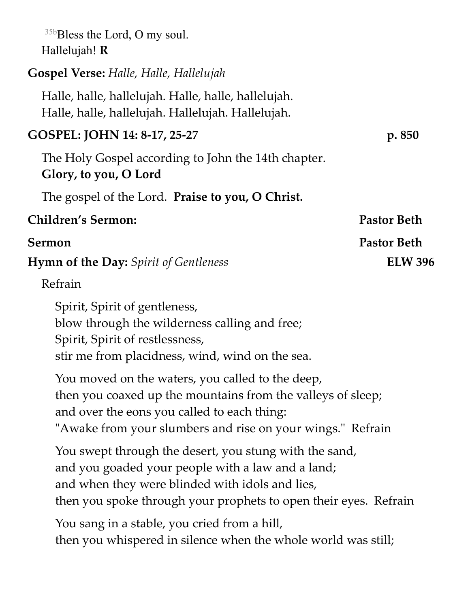<sup>35b</sup>Bless the Lord, O my soul. Hallelujah! **R**

#### **Gospel Verse:** *Halle, Halle, Hallelujah*

Halle, halle, hallelujah. Halle, halle, hallelujah. Halle, halle, hallelujah. Hallelujah. Hallelujah.

| GOSPEL: JOHN 14: 8-17, 25-27 | p. 850 |
|------------------------------|--------|
|                              |        |

The Holy Gospel according to John the 14th chapter. **Glory, to you, O Lord**

The gospel of the Lord. **Praise to you, O Christ.**

#### **Children's Sermon: Pastor Beth**

**Sermon Pastor Beth**

## **Hymn of the Day:** *Spirit of Gentleness* **ELW 396**

Refrain

Spirit, Spirit of gentleness, blow through the wilderness calling and free; Spirit, Spirit of restlessness, stir me from placidness, wind, wind on the sea.

You moved on the waters, you called to the deep, then you coaxed up the mountains from the valleys of sleep; and over the eons you called to each thing: "Awake from your slumbers and rise on your wings." Refrain

You swept through the desert, you stung with the sand, and you goaded your people with a law and a land; and when they were blinded with idols and lies, then you spoke through your prophets to open their eyes. Refrain

You sang in a stable, you cried from a hill, then you whispered in silence when the whole world was still;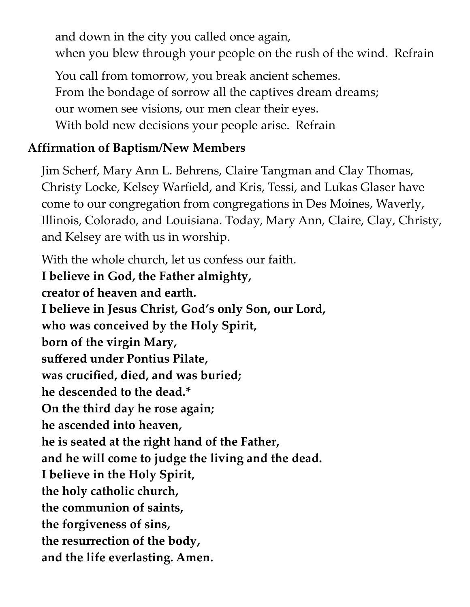and down in the city you called once again, when you blew through your people on the rush of the wind. Refrain

You call from tomorrow, you break ancient schemes. From the bondage of sorrow all the captives dream dreams; our women see visions, our men clear their eyes. With bold new decisions your people arise. Refrain

### **Affirmation of Baptism/New Members**

Jim Scherf, Mary Ann L. Behrens, Claire Tangman and Clay Thomas, Christy Locke, Kelsey Warfield, and Kris, Tessi, and Lukas Glaser have come to our congregation from congregations in Des Moines, Waverly, Illinois, Colorado, and Louisiana. Today, Mary Ann, Claire, Clay, Christy, and Kelsey are with us in worship.

With the whole church, let us confess our faith. **I believe in God, the Father almighty, creator of heaven and earth. I believe in Jesus Christ, God's only Son, our Lord, who was conceived by the Holy Spirit, born of the virgin Mary, suffered under Pontius Pilate, was crucified, died, and was buried; he descended to the dead.\* On the third day he rose again; he ascended into heaven, he is seated at the right hand of the Father, and he will come to judge the living and the dead. I believe in the Holy Spirit, the holy catholic church, the communion of saints, the forgiveness of sins, the resurrection of the body, and the life everlasting. Amen.**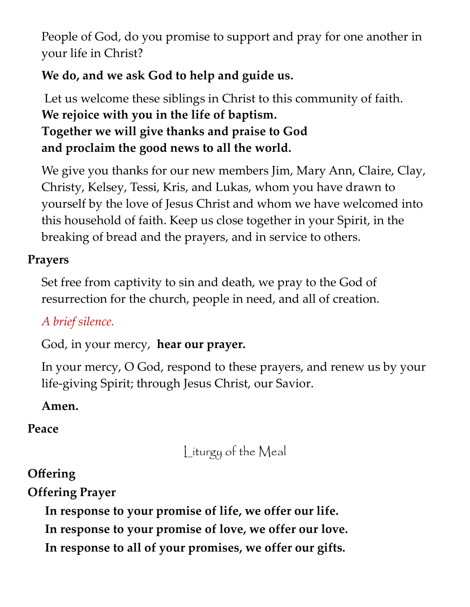People of God, do you promise to support and pray for one another in your life in Christ?

## **We do, and we ask God to help and guide us.**

Let us welcome these siblings in Christ to this community of faith. **We rejoice with you in the life of baptism. Together we will give thanks and praise to God and proclaim the good news to all the world.**

We give you thanks for our new members Jim, Mary Ann, Claire, Clay, Christy, Kelsey, Tessi, Kris, and Lukas, whom you have drawn to yourself by the love of Jesus Christ and whom we have welcomed into this household of faith. Keep us close together in your Spirit, in the breaking of bread and the prayers, and in service to others.

### **Prayers**

Set free from captivity to sin and death, we pray to the God of resurrection for the church, people in need, and all of creation.

### *A brief silence.*

God, in your mercy, **hear our prayer.**

In your mercy, O God, respond to these prayers, and renew us by your life-giving Spirit; through Jesus Christ, our Savior.

### **Amen.**

**Peace**

Liturgy of the Meal

### **Offering**

**Offering Prayer**

**In response to your promise of life, we offer our life.**

**In response to your promise of love, we offer our love.**

**In response to all of your promises, we offer our gifts.**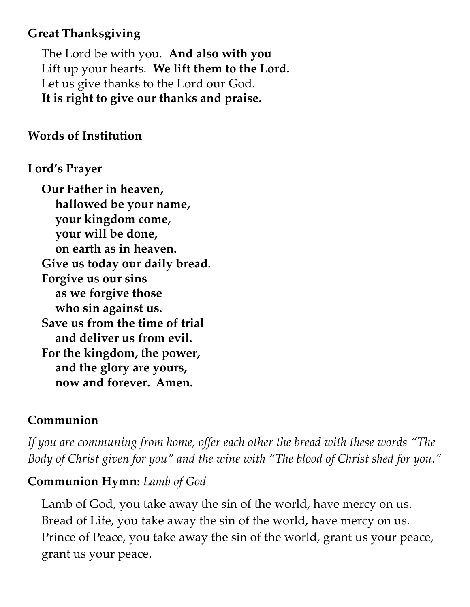### **Great Thanksgiving**

The Lord be with you. **And also with you** Lift up your hearts. **We lift them to the Lord.** Let us give thanks to the Lord our God. **It is right to give our thanks and praise.**

#### **Words of Institution**

#### **Lord's Prayer**

**Our Father in heaven, hallowed be your name, your kingdom come, your will be done, on earth as in heaven. Give us today our daily bread. Forgive us our sins as we forgive those who sin against us. Save us from the time of trial and deliver us from evil. For the kingdom, the power, and the glory are yours, now and forever. Amen.**

#### **Communion**

*If you are communing from home, offer each other the bread with these words "The Body of Christ given for you" and the wine with "The blood of Christ shed for you."*

### **Communion Hymn:** *Lamb of God*

Lamb of God, you take away the sin of the world, have mercy on us. Bread of Life, you take away the sin of the world, have mercy on us. Prince of Peace, you take away the sin of the world, grant us your peace, grant us your peace.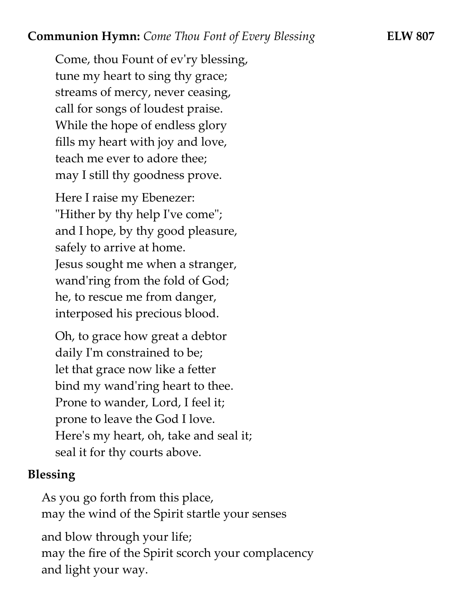#### **Communion Hymn:** *Come Thou Font of Every Blessing* **ELW 807**

Come, thou Fount of ev'ry blessing, tune my heart to sing thy grace; streams of mercy, never ceasing, call for songs of loudest praise. While the hope of endless glory fills my heart with joy and love, teach me ever to adore thee; may I still thy goodness prove.

Here I raise my Ebenezer: "Hither by thy help I've come"; and I hope, by thy good pleasure, safely to arrive at home. Jesus sought me when a stranger, wand'ring from the fold of God; he, to rescue me from danger, interposed his precious blood.

Oh, to grace how great a debtor daily I'm constrained to be; let that grace now like a fetter bind my wand'ring heart to thee. Prone to wander, Lord, I feel it; prone to leave the God I love. Here's my heart, oh, take and seal it; seal it for thy courts above.

#### **Blessing**

As you go forth from this place, may the wind of the Spirit startle your senses

and blow through your life; may the fire of the Spirit scorch your complacency and light your way.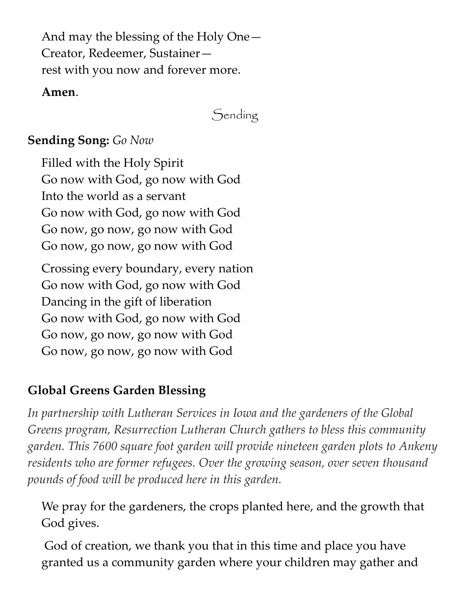And may the blessing of the Holy One— Creator, Redeemer, Sustainer rest with you now and forever more.

#### **Amen**.

Sending

## **Sending Song:** *Go Now*

Filled with the Holy Spirit Go now with God, go now with God Into the world as a servant Go now with God, go now with God Go now, go now, go now with God Go now, go now, go now with God

Crossing every boundary, every nation Go now with God, go now with God Dancing in the gift of liberation Go now with God, go now with God Go now, go now, go now with God Go now, go now, go now with God

# **Global Greens Garden Blessing**

*In partnership with Lutheran Services in Iowa and the gardeners of the Global Greens program, Resurrection Lutheran Church gathers to bless this community garden. This 7600 square foot garden will provide nineteen garden plots to Ankeny residents who are former refugees. Over the growing season, over seven thousand pounds of food will be produced here in this garden.*

We pray for the gardeners, the crops planted here, and the growth that God gives.

God of creation, we thank you that in this time and place you have granted us a community garden where your children may gather and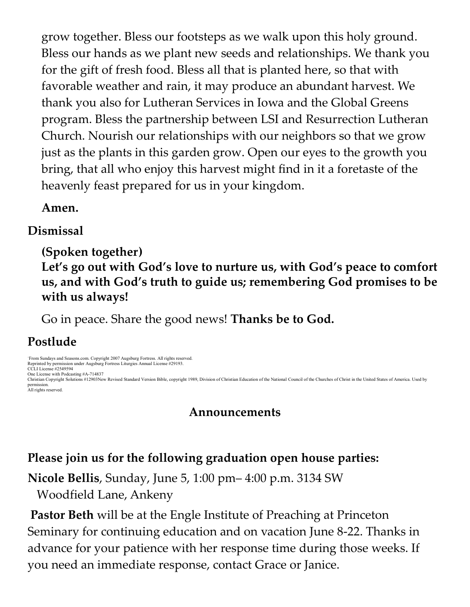grow together. Bless our footsteps as we walk upon this holy ground. Bless our hands as we plant new seeds and relationships. We thank you for the gift of fresh food. Bless all that is planted here, so that with favorable weather and rain, it may produce an abundant harvest. We thank you also for Lutheran Services in Iowa and the Global Greens program. Bless the partnership between LSI and Resurrection Lutheran Church. Nourish our relationships with our neighbors so that we grow just as the plants in this garden grow. Open our eyes to the growth you bring, that all who enjoy this harvest might find in it a foretaste of the heavenly feast prepared for us in your kingdom.

#### **Amen.**

### **Dismissal**

### **(Spoken together)**

**Let's go out with God's love to nurture us, with God's peace to comfort us, and with God's truth to guide us; remembering God promises to be with us always!**

Go in peace. Share the good news! **Thanks be to God.**

# **Postlude**

`From Sundays and Seasons.com. Copyright 2007 Augsburg Fortress. All rights reserved. Reprinted by permission under Augsburg Fortress Liturgies Annual License #29193. CCLI License #2549594 One License with Podcasting #A-714837 Christian Copyright Solutions #12903New Revised Standard Version Bible, copyright 1989, Division of Christian Education of the National Council of the Churches of Christ in the United States of America. Used by permission. All rights reserved.

### **Announcements**

## **Please join us for the following graduation open house parties:**

**Nicole Bellis**, Sunday, June 5, 1:00 pm– 4:00 p.m. 3134 SW Woodfield Lane, Ankeny

**Pastor Beth** will be at the Engle Institute of Preaching at Princeton Seminary for continuing education and on vacation June 8-22. Thanks in advance for your patience with her response time during those weeks. If you need an immediate response, contact Grace or Janice.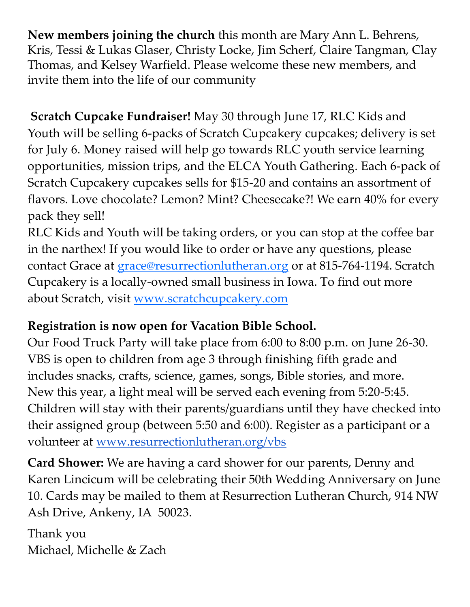**New members joining the church** this month are Mary Ann L. Behrens, Kris, Tessi & Lukas Glaser, Christy Locke, Jim Scherf, Claire Tangman, Clay Thomas, and Kelsey Warfield. Please welcome these new members, and invite them into the life of our community

**Scratch Cupcake Fundraiser!** May 30 through June 17, RLC Kids and Youth will be selling 6-packs of Scratch Cupcakery cupcakes; delivery is set for July 6. Money raised will help go towards RLC youth service learning opportunities, mission trips, and the ELCA Youth Gathering. Each 6-pack of Scratch Cupcakery cupcakes sells for \$15-20 and contains an assortment of flavors. Love chocolate? Lemon? Mint? Cheesecake?! We earn 40% for every pack they sell!

RLC Kids and Youth will be taking orders, or you can stop at the coffee bar in the narthex! If you would like to order or have any questions, please contact Grace at [grace@resurrectionlutheran.org](mailto:grace@resurrectionlutheran.org) or at 815-764-1194. Scratch Cupcakery is a locally-owned small business in Iowa. To find out more about Scratch, visit [www.scratchcupcakery.com](http://www.scratchcupcakery.com/)

## **Registration is now open for Vacation Bible School.**

Our Food Truck Party will take place from 6:00 to 8:00 p.m. on June 26-30. VBS is open to children from age 3 through finishing fifth grade and includes snacks, crafts, science, games, songs, Bible stories, and more. New this year, a light meal will be served each evening from 5:20-5:45. Children will stay with their parents/guardians until they have checked into their assigned group (between 5:50 and 6:00). Register as a participant or a volunteer at [www.resurrectionlutheran.org/vbs](http://www.resurrectionlutheran.org/vbs)

**Card Shower:** We are having a card shower for our parents, Denny and Karen Lincicum will be celebrating their 50th Wedding Anniversary on June 10. Cards may be mailed to them at Resurrection Lutheran Church, 914 NW Ash Drive, Ankeny, IA 50023.

Thank you Michael, Michelle & Zach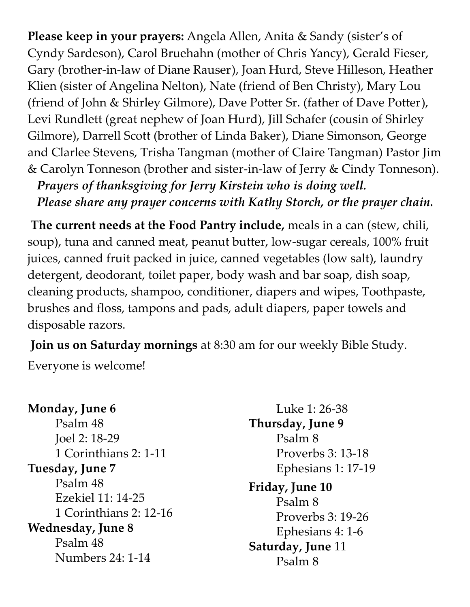**Please keep in your prayers:** Angela Allen, Anita & Sandy (sister's of Cyndy Sardeson), Carol Bruehahn (mother of Chris Yancy), Gerald Fieser, Gary (brother-in-law of Diane Rauser), Joan Hurd, Steve Hilleson, Heather Klien (sister of Angelina Nelton), Nate (friend of Ben Christy), Mary Lou (friend of John & Shirley Gilmore), Dave Potter Sr. (father of Dave Potter), Levi Rundlett (great nephew of Joan Hurd), Jill Schafer (cousin of Shirley Gilmore), Darrell Scott (brother of Linda Baker), Diane Simonson, George and Clarlee Stevens, Trisha Tangman (mother of Claire Tangman) Pastor Jim & Carolyn Tonneson (brother and sister-in-law of Jerry & Cindy Tonneson).

 *Prayers of thanksgiving for Jerry Kirstein who is doing well. Please share any prayer concerns with Kathy Storch, or the prayer chain.*

**The current needs at the Food Pantry include,** meals in a can (stew, chili, soup), tuna and canned meat, peanut butter, low-sugar cereals, 100% fruit juices, canned fruit packed in juice, canned vegetables (low salt), laundry detergent, deodorant, toilet paper, body wash and bar soap, dish soap, cleaning products, shampoo, conditioner, diapers and wipes, Toothpaste, brushes and floss, tampons and pads, adult diapers, paper towels and disposable razors.

**Join us on Saturday mornings** at 8:30 am for our weekly Bible Study. Everyone is welcome!

**Monday, June 6** Psalm 48 Joel 2: 18-29 1 Corinthians 2: 1-11 **Tuesday, June 7** Psalm 48 Ezekiel 11: 14-25 1 Corinthians 2: 12-16 **Wednesday, June 8** Psalm 48 Numbers 24: 1-14

Luke 1: 26-38 **Thursday, June 9** Psalm 8 Proverbs 3: 13-18 Ephesians 1: 17-19 **Friday, June 10** Psalm 8 Proverbs 3: 19-26 Ephesians 4: 1-6 **Saturday, June** 11 Psalm 8